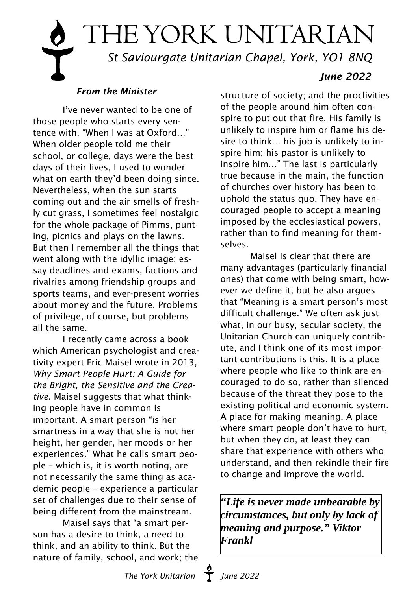# THE YORK UNITARIAN  *St Saviourgate Unitarian Chapel, York, YO1 8NQ June 2022*

## *From the Minister*

I've never wanted to be one of those people who starts every sentence with, "When I was at Oxford…" When older people told me their school, or college, days were the best days of their lives, I used to wonder what on earth they'd been doing since. Nevertheless, when the sun starts coming out and the air smells of freshly cut grass, I sometimes feel nostalgic for the whole package of Pimms, punting, picnics and plays on the lawns. But then I remember all the things that went along with the idyllic image: essay deadlines and exams, factions and rivalries among friendship groups and sports teams, and ever-present worries about money and the future. Problems of privilege, of course, but problems all the same.

I recently came across a book which American psychologist and creativity expert Eric Maisel wrote in 2013, *Why Smart People Hurt: A Guide for the Bright, the Sensitive and the Creative*. Maisel suggests that what thinking people have in common is important. A smart person "is her smartness in a way that she is not her height, her gender, her moods or her experiences." What he calls smart people – which is, it is worth noting, are not necessarily the same thing as academic people – experience a particular set of challenges due to their sense of being different from the mainstream.

Maisel says that "a smart person has a desire to think, a need to think, and an ability to think. But the nature of family, school, and work; the

structure of society; and the proclivities of the people around him often conspire to put out that fire. His family is unlikely to inspire him or flame his desire to think… his job is unlikely to inspire him; his pastor is unlikely to inspire him…" The last is particularly true because in the main, the function of churches over history has been to uphold the status quo. They have encouraged people to accept a meaning imposed by the ecclesiastical powers, rather than to find meaning for themselves.

Maisel is clear that there are many advantages (particularly financial ones) that come with being smart, however we define it, but he also argues that "Meaning is a smart person's most difficult challenge." We often ask just what, in our busy, secular society, the Unitarian Church can uniquely contribute, and I think one of its most important contributions is this. It is a place where people who like to think are encouraged to do so, rather than silenced because of the threat they pose to the existing political and economic system. A place for making meaning. A place where smart people don't have to hurt, but when they do, at least they can share that experience with others who understand, and then rekindle their fire to change and improve the world.

*"Life is never made unbearable by circumstances, but only by lack of meaning and purpose." Viktor Frankl*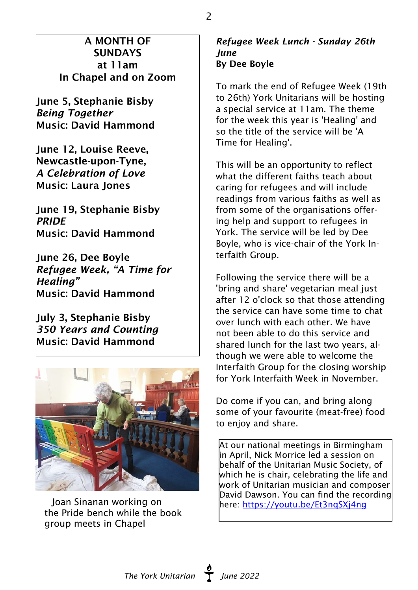## A MONTH OF SUNDAYS at 11am In Chapel and on Zoom

June 5, Stephanie Bisby *Being Together* Music: David Hammond

June 12, Louise Reeve, Newcastle-upon-Tyne, *A Celebration of Love* Music: Laura Jones

June 19, Stephanie Bisby *PRIDE* Music: David Hammond

June 26, Dee Boyle *Refugee Week, "A Time for Healing"* Music: David Hammond

July 3, Stephanie Bisby *350 Years and Counting* Music: David Hammond



Joan Sinanan working on the Pride bench while the book group meets in Chapel

#### *Refugee Week Lunch - Sunday 26th June* By Dee Boyle

To mark the end of Refugee Week (19th to 26th) York Unitarians will be hosting a special service at 11am. The theme for the week this year is 'Healing' and so the title of the service will be 'A Time for Healing'.

This will be an opportunity to reflect what the different faiths teach about caring for refugees and will include readings from various faiths as well as from some of the organisations offering help and support to refugees in York. The service will be led by Dee Boyle, who is vice-chair of the York Interfaith Group.

Following the service there will be a 'bring and share' vegetarian meal just after 12 o'clock so that those attending the service can have some time to chat over lunch with each other. We have not been able to do this service and shared lunch for the last two years, although we were able to welcome the Interfaith Group for the closing worship for York Interfaith Week in November.

Do come if you can, and bring along some of your favourite (meat-free) food to enjoy and share.

At our national meetings in Birmingham in April, Nick Morrice led a session on behalf of the Unitarian Music Society, of which he is chair, celebrating the life and work of Unitarian musician and composer David Dawson. You can find the recording here: <https://youtu.be/Et3nqSXj4ng>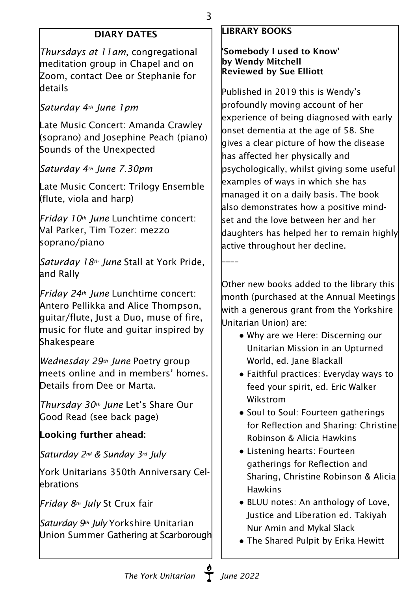# DIARY DATES

*Thursdays at 11am*, congregational meditation group in Chapel and on Zoom, contact Dee or Stephanie for details

## *Saturday 4th June 1pm*

Late Music Concert: Amanda Crawley (soprano) and Josephine Peach (piano) Sounds of the Unexpected

*Saturday 4th June 7.30pm*

Late Music Concert: Trilogy Ensemble (flute, viola and harp)

*Friday 10th June* Lunchtime concert: Val Parker, Tim Tozer: mezzo soprano/piano

*Saturday 18th June* Stall at York Pride, and Rally

*Friday 24th June* Lunchtime concert: Antero Pellikka and Alice Thompson, guitar/flute, Just a Duo, muse of fire, music for flute and guitar inspired by Shakespeare

*Wednesday 29th June* Poetry group meets online and in members' homes. Details from Dee or Marta.

*Thursday 30th June* Let's Share Our Good Read (see back page)

# Looking further ahead:

*Saturday 2nd & Sunday 3rd July*

York Unitarians 350th Anniversary Celebrations

*Friday 8th July* St Crux fair

*Saturday 9th July* Yorkshire Unitarian Union Summer Gathering at Scarborough

## LIBRARY BOOKS

3

#### 'Somebody I used to Know' by Wendy Mitchell Reviewed by Sue Elliott

Published in 2019 this is Wendy's  $|$ profoundly moving account of her experience of being diagnosed with early  $\,$  lonset dementia at the age of 58. She  $\,$  aives a clear picture of how the disease has affected her physically and psychologically, whilst giving some useful examples of ways in which she has managed it on a daily basis. The book also demonstrates how a positive mindset and the love between her and her daughters has helped her to remain highly active throughout her decline.

\_\_\_\_

Other new books added to the library this month (purchased at the Annual Meetings with a generous grant from the Yorkshire Unitarian Union) are:

- Why are we Here: Discerning our Unitarian Mission in an Upturned World, ed. Jane Blackall
- Faithful practices: Everyday ways to feed your spirit, ed. Eric Walker Wikstrom
- Soul to Soul: Fourteen gatherings for Reflection and Sharing: Christine Robinson & Alicia Hawkins
- Listening hearts: Fourteen gatherings for Reflection and Sharing, Christine Robinson & Alicia **Hawkins**
- BLUU notes: An anthology of Love, Justice and Liberation ed. Takiyah Nur Amin and Mykal Slack
- The Shared Pulpit by Erika Hewitt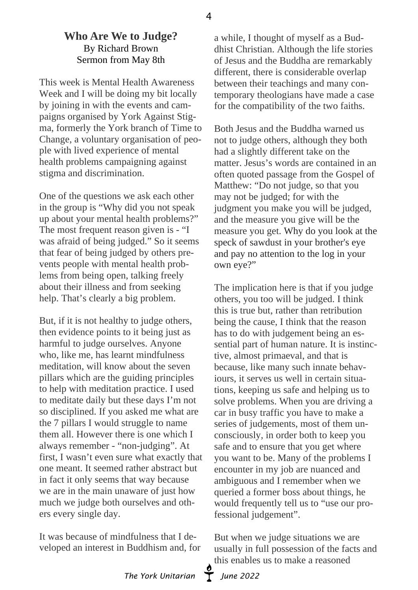### **Who Are We to Judge?** By Richard Brown Sermon from May 8th

This week is Mental Health Awareness Week and I will be doing my bit locally by joining in with the events and campaigns organised by York Against Stigma, formerly the York branch of Time to Change, a voluntary organisation of people with lived experience of mental health problems campaigning against stigma and discrimination.

One of the questions we ask each other in the group is "Why did you not speak up about your mental health problems?" The most frequent reason given is - "I was afraid of being judged." So it seems that fear of being judged by others prevents people with mental health problems from being open, talking freely about their illness and from seeking help. That's clearly a big problem.

But, if it is not healthy to judge others, then evidence points to it being just as harmful to judge ourselves. Anyone who, like me, has learnt mindfulness meditation, will know about the seven pillars which are the guiding principles to help with meditation practice. I used to meditate daily but these days I'm not so disciplined. If you asked me what are the 7 pillars I would struggle to name them all. However there is one which I always remember - "non-judging". At first, I wasn't even sure what exactly that one meant. It seemed rather abstract but in fact it only seems that way because we are in the main unaware of just how much we judge both ourselves and others every single day.

It was because of mindfulness that I developed an interest in Buddhism and, for

a while, I thought of myself as a Buddhist Christian. Although the life stories of Jesus and the Buddha are remarkably different, there is considerable overlap between their teachings and many contemporary theologians have made a case for the compatibility of the two faiths.

Both Jesus and the Buddha warned us not to judge others, although they both had a slightly different take on the matter. Jesus's words are contained in an often quoted passage from the Gospel of Matthew: "Do not judge, so that you may not be judged; for with the judgment you make you will be judged, and the measure you give will be the measure you get. Why do you look at the speck of sawdust in your brother's eye and pay no attention to the log in your own eye?"

The implication here is that if you judge others, you too will be judged. I think this is true but, rather than retribution being the cause, I think that the reason has to do with judgement being an essential part of human nature. It is instinctive, almost primaeval, and that is because, like many such innate behaviours, it serves us well in certain situations, keeping us safe and helping us to solve problems. When you are driving a car in busy traffic you have to make a series of judgements, most of them unconsciously, in order both to keep you safe and to ensure that you get where you want to be. Many of the problems I encounter in my job are nuanced and ambiguous and I remember when we queried a former boss about things, he would frequently tell us to "use our professional judgement".

But when we judge situations we are usually in full possession of the facts and this enables us to make a reasoned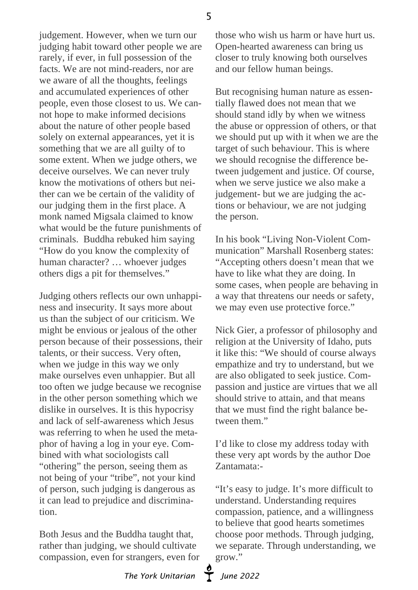5

judgement. However, when we turn our judging habit toward other people we are rarely, if ever, in full possession of the facts. We are not mind-readers, nor are we aware of all the thoughts, feelings and accumulated experiences of other people, even those closest to us. We cannot hope to make informed decisions about the nature of other people based solely on external appearances, yet it is something that we are all guilty of to some extent. When we judge others, we deceive ourselves. We can never truly know the motivations of others but neither can we be certain of the validity of our judging them in the first place. A monk named Migsala claimed to know what would be the future punishments of criminals. Buddha rebuked him saying "How do you know the complexity of human character? … whoever judges others digs a pit for themselves."

Judging others reflects our own unhappiness and insecurity. It says more about us than the subject of our criticism. We might be envious or jealous of the other person because of their possessions, their talents, or their success. Very often, when we judge in this way we only make ourselves even unhappier. But all too often we judge because we recognise in the other person something which we dislike in ourselves. It is this hypocrisy and lack of self-awareness which Jesus was referring to when he used the metaphor of having a log in your eye. Combined with what sociologists call "othering" the person, seeing them as not being of your "tribe", not your kind of person, such judging is dangerous as it can lead to prejudice and discrimination.

Both Jesus and the Buddha taught that, rather than judging, we should cultivate compassion, even for strangers, even for those who wish us harm or have hurt us. Open-hearted awareness can bring us closer to truly knowing both ourselves and our fellow human beings.

But recognising human nature as essentially flawed does not mean that we should stand idly by when we witness the abuse or oppression of others, or that we should put up with it when we are the target of such behaviour. This is where we should recognise the difference between judgement and justice. Of course, when we serve justice we also make a judgement- but we are judging the actions or behaviour, we are not judging the person.

In his book "Living Non-Violent Communication" Marshall Rosenberg states: "Accepting others doesn't mean that we have to like what they are doing. In some cases, when people are behaving in a way that threatens our needs or safety, we may even use protective force."

Nick Gier, a professor of philosophy and religion at the University of Idaho, puts it like this: "We should of course always empathize and try to understand, but we are also obligated to seek justice. Compassion and justice are virtues that we all should strive to attain, and that means that we must find the right balance between them."

I'd like to close my address today with these very apt words by the author Doe Zantamata:-

"It's easy to judge. It's more difficult to understand. Understanding requires compassion, patience, and a willingness to believe that good hearts sometimes choose poor methods. Through judging, we separate. Through understanding, we grow."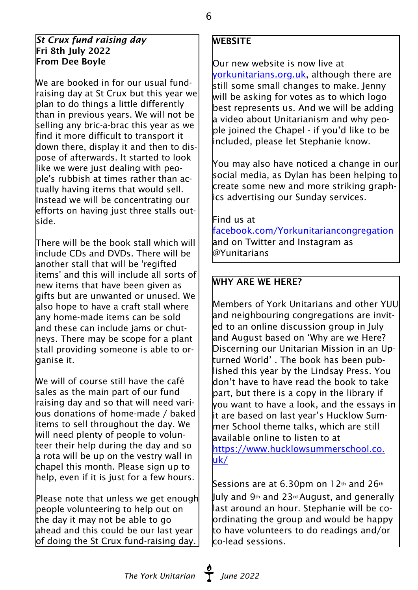#### *St Crux fund raising day* Fri 8th July 2022 From Dee Boyle

We are booked in for our usual fundraising day at St Crux but this year we plan to do things a little differently than in previous years. We will not be selling any bric-a-brac this year as we find it more difficult to transport it down there, display it and then to dispose of afterwards. It started to look like we were just dealing with people's rubbish at times rather than actually having items that would sell. Instead we will be concentrating our efforts on having just three stalls outside.

There will be the book stall which will include CDs and DVDs. There will be another stall that will be 'regifted items' and this will include all sorts of new items that have been given as gifts but are unwanted or unused. We also hope to have a craft stall where any home-made items can be sold and these can include jams or chutneys. There may be scope for a plant stall providing someone is able to organise it.

We will of course still have the café sales as the main part of our fund raising day and so that will need vari- $\,$  lous donations of home-made / baked items to sell throughout the day. We will need plenty of people to volunteer their help during the day and so a rota will be up on the vestry wall in chapel this month. Please sign up to help, even if it is just for a few hours.

Please note that unless we get enough people volunteering to help out on the day it may not be able to go ahead and this could be our last year of doing the St Crux fund-raising day.

## **WEBSITE**

Our new website is now live at [yorkunitarians.org.uk,](http://yorkunitarians.org.uk) although there are still some small changes to make. Jenny will be asking for votes as to which logo best represents us. And we will be adding a video about Unitarianism and why peo- $\vert$ ple ioined the Chapel - if you'd like to be included, please let Stephanie know.

You may also have noticed a change in our social media, as Dylan has been helping to create some new and more striking graphics advertising our Sunday services.

Find us at

<facebook.com/Yorkunitariancongregation> and on Twitter and Instagram as @Yunitarians

## WHY ARE WE HERE?

Members of York Unitarians and other YUU and neighbouring congregations are invited to an online discussion group in July and August based on 'Why are we Here? Discerning our Unitarian Mission in an Upturned World' . The book has been published this year by the Lindsay Press. You don't have to have read the book to take part, but there is a copy in the library if you want to have a look, and the essays in it are based on last year's Hucklow Summer School theme talks, which are still available online to listen to at [https://www.hucklowsummerschool.co.](http://) [uk/](http://)

Sessions are at 6.30pm on 12th and 26th July and 9th and 23rdAugust, and generally last around an hour. Stephanie will be coordinating the group and would be happy to have volunteers to do readings and/or co-lead sessions.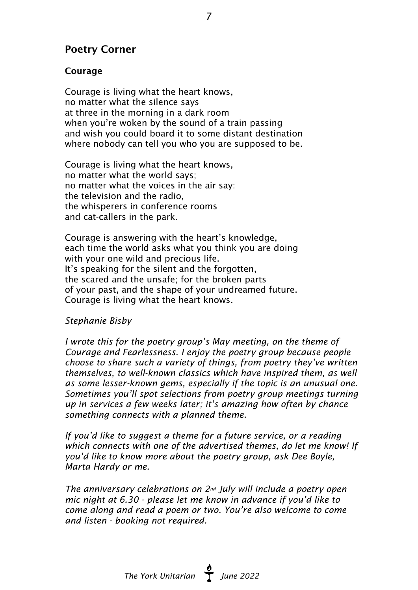## Poetry Corner

#### Courage

Courage is living what the heart knows, no matter what the silence says at three in the morning in a dark room when you're woken by the sound of a train passing and wish you could board it to some distant destination where nobody can tell you who you are supposed to be.

Courage is living what the heart knows, no matter what the world says; no matter what the voices in the air say: the television and the radio, the whisperers in conference rooms and cat-callers in the park.

Courage is answering with the heart's knowledge, each time the world asks what you think you are doing with your one wild and precious life. It's speaking for the silent and the forgotten, the scared and the unsafe; for the broken parts of your past, and the shape of your undreamed future. Courage is living what the heart knows.

#### *Stephanie Bisby*

*I wrote this for the poetry group's May meeting, on the theme of Courage and Fearlessness. I enjoy the poetry group because people choose to share such a variety of things, from poetry they've written themselves, to well-known classics which have inspired them, as well as some lesser-known gems, especially if the topic is an unusual one. Sometimes you'll spot selections from poetry group meetings turning up in services a few weeks later; it's amazing how often by chance something connects with a planned theme.*

*If you'd like to suggest a theme for a future service, or a reading which connects with one of the advertised themes, do let me know! If you'd like to know more about the poetry group, ask Dee Boyle, Marta Hardy or me.*

*The anniversary celebrations on 2nd July will include a poetry open mic night at 6.30 - please let me know in advance if you'd like to come along and read a poem or two. You're also welcome to come and listen - booking not required.*